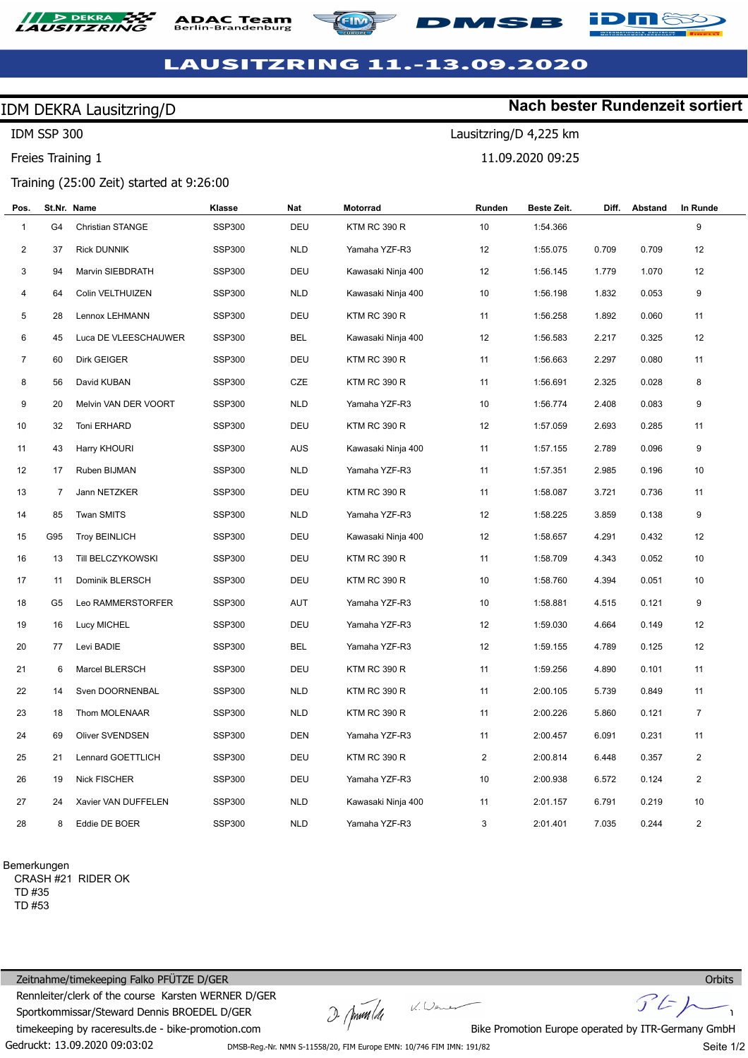

## **DAC Team**





**Nach bester Rundenzeit sortiert**

Lausitzring/D 4,225 km

MSB

11.09.2020 09:25

### **LAUSITZRING 11.-13.09.2020**

### IDM DEKRA Lausitzring/D

IDM SSP 300

Freies Training 1

### Training (25:00 Zeit) started at 9:26:00

| Pos.           |                | St.Nr. Name             | Klasse        | Nat        | Motorrad            | Runden         | Beste Zeit. | Diff. | Abstand | In Runde       |  |
|----------------|----------------|-------------------------|---------------|------------|---------------------|----------------|-------------|-------|---------|----------------|--|
| $\mathbf{1}$   | G <sub>4</sub> | <b>Christian STANGE</b> | <b>SSP300</b> | DEU        | <b>KTM RC 390 R</b> | 10             | 1:54.366    |       |         | 9              |  |
| $\overline{c}$ | 37             | <b>Rick DUNNIK</b>      | <b>SSP300</b> | <b>NLD</b> | Yamaha YZF-R3       | 12             | 1:55.075    | 0.709 | 0.709   | 12             |  |
| 3              | 94             | Marvin SIEBDRATH        | <b>SSP300</b> | DEU        | Kawasaki Ninja 400  | 12             | 1:56.145    | 1.779 | 1.070   | 12             |  |
| 4              | 64             | Colin VELTHUIZEN        | <b>SSP300</b> | <b>NLD</b> | Kawasaki Ninja 400  | 10             | 1:56.198    | 1.832 | 0.053   | 9              |  |
| 5              | 28             | Lennox LEHMANN          | <b>SSP300</b> | <b>DEU</b> | KTM RC 390 R        | 11             | 1:56.258    | 1.892 | 0.060   | 11             |  |
| 6              | 45             | Luca DE VLEESCHAUWER    | <b>SSP300</b> | <b>BEL</b> | Kawasaki Ninja 400  | 12             | 1:56.583    | 2.217 | 0.325   | 12             |  |
| $\overline{7}$ | 60             | Dirk GEIGER             | <b>SSP300</b> | DEU        | <b>KTM RC 390 R</b> | 11             | 1:56.663    | 2.297 | 0.080   | 11             |  |
| 8              | 56             | David KUBAN             | <b>SSP300</b> | <b>CZE</b> | <b>KTM RC 390 R</b> | 11             | 1:56.691    | 2.325 | 0.028   | 8              |  |
| 9              | 20             | Melvin VAN DER VOORT    | <b>SSP300</b> | <b>NLD</b> | Yamaha YZF-R3       | 10             | 1:56.774    | 2.408 | 0.083   | 9              |  |
| 10             | 32             | Toni ERHARD             | <b>SSP300</b> | DEU        | <b>KTM RC 390 R</b> | 12             | 1:57.059    | 2.693 | 0.285   | 11             |  |
| 11             | 43             | Harry KHOURI            | <b>SSP300</b> | <b>AUS</b> | Kawasaki Ninja 400  | 11             | 1:57.155    | 2.789 | 0.096   | 9              |  |
| 12             | 17             | Ruben BIJMAN            | <b>SSP300</b> | <b>NLD</b> | Yamaha YZF-R3       | 11             | 1:57.351    | 2.985 | 0.196   | 10             |  |
| 13             | 7              | Jann NETZKER            | <b>SSP300</b> | DEU        | KTM RC 390 R        | 11             | 1:58.087    | 3.721 | 0.736   | 11             |  |
| 14             | 85             | Twan SMITS              | <b>SSP300</b> | <b>NLD</b> | Yamaha YZF-R3       | 12             | 1:58.225    | 3.859 | 0.138   | 9              |  |
| 15             | G95            | <b>Troy BEINLICH</b>    | <b>SSP300</b> | DEU        | Kawasaki Ninja 400  | 12             | 1:58.657    | 4.291 | 0.432   | 12             |  |
| 16             | 13             | Till BELCZYKOWSKI       | <b>SSP300</b> | DEU        | <b>KTM RC 390 R</b> | 11             | 1:58.709    | 4.343 | 0.052   | 10             |  |
| 17             | 11             | Dominik BLERSCH         | <b>SSP300</b> | DEU        | <b>KTM RC 390 R</b> | 10             | 1:58.760    | 4.394 | 0.051   | 10             |  |
| 18             | G5             | Leo RAMMERSTORFER       | <b>SSP300</b> | AUT        | Yamaha YZF-R3       | 10             | 1:58.881    | 4.515 | 0.121   | 9              |  |
| 19             | 16             | Lucy MICHEL             | <b>SSP300</b> | DEU        | Yamaha YZF-R3       | 12             | 1:59.030    | 4.664 | 0.149   | 12             |  |
| 20             | 77             | Levi BADIE              | <b>SSP300</b> | <b>BEL</b> | Yamaha YZF-R3       | 12             | 1:59.155    | 4.789 | 0.125   | 12             |  |
| 21             | 6              | Marcel BLERSCH          | <b>SSP300</b> | DEU        | <b>KTM RC 390 R</b> | 11             | 1:59.256    | 4.890 | 0.101   | 11             |  |
| 22             | 14             | Sven DOORNENBAL         | <b>SSP300</b> | <b>NLD</b> | <b>KTM RC 390 R</b> | 11             | 2:00.105    | 5.739 | 0.849   | 11             |  |
| 23             | 18             | Thom MOLENAAR           | <b>SSP300</b> | <b>NLD</b> | KTM RC 390 R        | 11             | 2:00.226    | 5.860 | 0.121   | $\overline{7}$ |  |
| 24             | 69             | Oliver SVENDSEN         | <b>SSP300</b> | <b>DEN</b> | Yamaha YZF-R3       | 11             | 2:00.457    | 6.091 | 0.231   | 11             |  |
| 25             | 21             | Lennard GOETTLICH       | <b>SSP300</b> | <b>DEU</b> | KTM RC 390 R        | $\overline{2}$ | 2:00.814    | 6.448 | 0.357   | $\sqrt{2}$     |  |
| 26             | 19             | <b>Nick FISCHER</b>     | <b>SSP300</b> | DEU        | Yamaha YZF-R3       | 10             | 2:00.938    | 6.572 | 0.124   | 2              |  |
| 27             | 24             | Xavier VAN DUFFELEN     | <b>SSP300</b> | <b>NLD</b> | Kawasaki Ninja 400  | 11             | 2:01.157    | 6.791 | 0.219   | 10             |  |
| 28             | 8              | Eddie DE BOER           | <b>SSP300</b> | <b>NLD</b> | Yamaha YZF-R3       | 3              | 2:01.401    | 7.035 | 0.244   | $\overline{2}$ |  |

Bemerkungen

CRASH #21 RIDER OK TD #35 TD #53

Gedruckt: 13.09.2020 09:03:02 Zeitnahme/timekeeping Falko PFÜTZE D/GER Rennleiter/clerk of the course Karsten WERNER D/GER Sportkommissar/Steward Dennis BROEDEL D/GER timekeeping by raceresults.de - bike-promotion.com

 $D$  (formal de

 $\mathcal{U}.\mathcal{Q}$ en



DMSB-Reg.-Nr. NMN S-11558/20, FIM Europe EMN: 10/746 FIM IMN: 191/82

Seite 1/2

**Orbits**